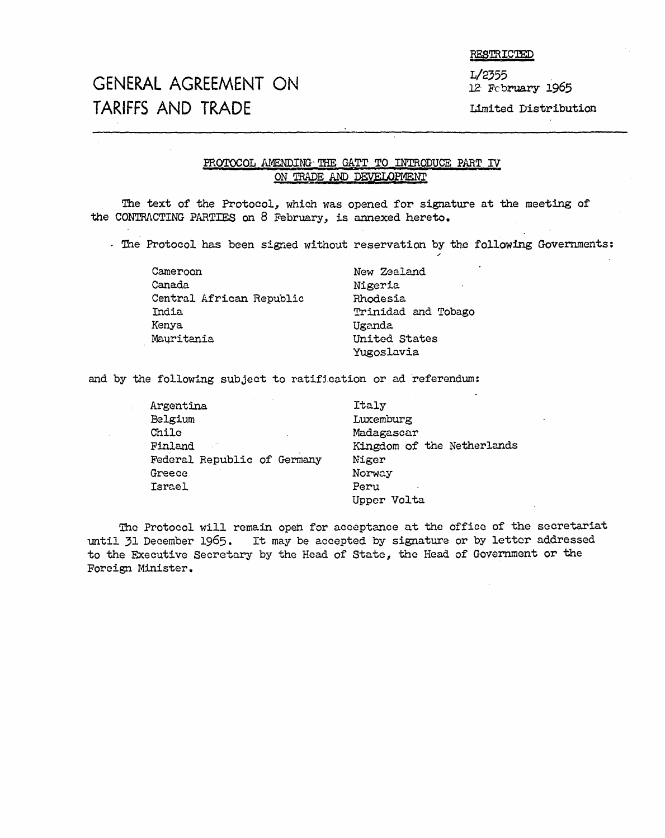# RESTRICTED

L/2355 12 February 1965

Limited Distribution

# GENERAL AGREEMENT ON TARIFFS AND TRADE

# PROTOCOL AMENDING THE GATT TO INTRODUCE PART IV ON TRADE AND DEVELOPMENT

The text of the Protocol, which was opened for signature at the meeting of the CONTRACTING PARTIES on 8 February, is annexed hereto.

- The Protocol has been signed without reservation by the following Governments:

Cameroon Canada Central African Republic India Kenya Mauritania

New Zealand Nigeria Rhodesia Trinidad and Tobago Ugzanda United States Yugoslavia

and by the following subject to ratification or ad referendum:

| Argentina                   | Italy                      |
|-----------------------------|----------------------------|
| Belgium                     | Luxemburg                  |
| Chile                       | Madagascar                 |
| Finland                     | Kingdom of the Netherlands |
| Federal Republic of Germany | Niger                      |
| Greece                      | Norway                     |
| Israel                      | Peru                       |
|                             | Upper Volta                |

The Protocol will remain open for acceptance at the office of the secretariat until 31 December 1965. It may be accepted by signature or by letter addressed to the Executive Secretary by the Head of State, the Head of Government or the Foreign Minister.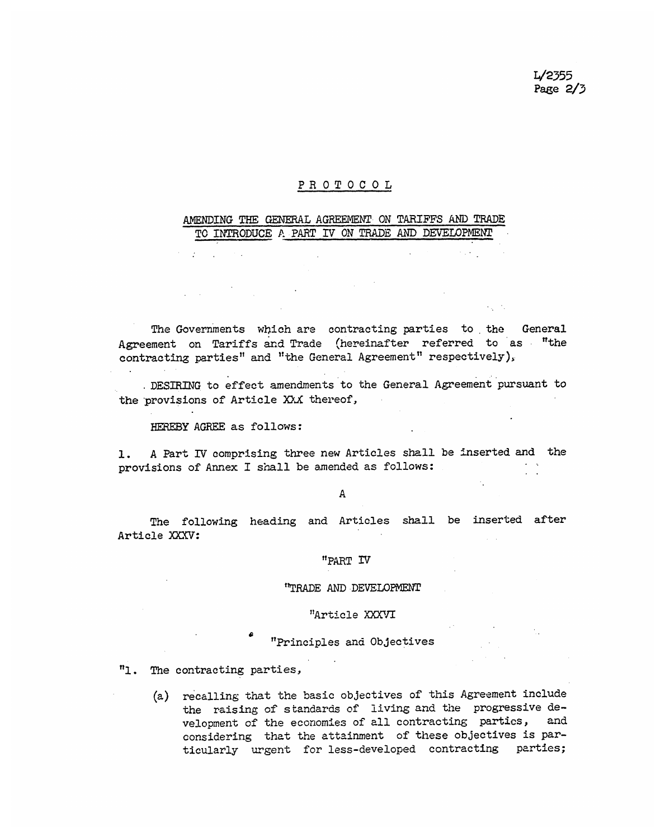# PROTOCOL

# AMENDING THE GENERAL AGREEMENT ON TARIFFS AND TRADE TO INTRODUCE A PART IV ON TRADE AND DEVELOPMENT

The Governments which are contracting parties to the General Agreement on Tariffs and Trade (hereinafter referred to as "the contracting parties" and "the General Agreement" respectively),

 $\label{eq:2.1} \frac{1}{2\pi}\frac{1}{2\pi}\left(\frac{1}{2\pi}\frac{1}{2\pi}\left(\frac{1}{2\pi}\right)^2-\frac{1}{2\pi}\left(\frac{1}{2\pi}\frac{1}{2\pi}\right)^2\right)=\frac{1}{2\pi}\frac{1}{2\pi}\left(\frac{1}{2\pi}\frac{1}{2\pi}\frac{1}{2\pi}\right)=\frac{1}{2\pi}\frac{1}{2\pi}\left(\frac{1}{2\pi}\frac{1}{2\pi}\frac{1}{2\pi}\frac{1}{2\pi}\right)=\frac{1}{2\pi}\frac{1}{2\pi}\left(\frac{1}{2\pi}\frac{1}{2$ 

DESIRING to effect amendments to the General Agreement pursuant to the provisions of Article XXX thereof,

HEREBY AGREE as follows:

 $\mathcal{F}^{\mathcal{A}}_{\mathcal{A}}$  and  $\mathcal{F}^{\mathcal{A}}_{\mathcal{A}}$  and  $\mathcal{F}^{\mathcal{A}}_{\mathcal{A}}$  and  $\mathcal{F}^{\mathcal{A}}_{\mathcal{A}}$ 

1. A Part IV comprising three new Articles shall be inserted and the provisions of Annex I shall be amended as follows:  $\mathcal{L}^{\mathcal{L}}$ 

# A

The following heading and Articles shall be inserted after Article XXXV:

#### "PART IV

## "TRADE AND DEVELOPMENT

"Article XXXVI

"Principles and Objectives

"1. The contracting parties,

(a) recalling that the basic objectives of this Agreement include the raising of standards of living and the progressive development of the economies of all contracting parties, and considering that the attainment of these objectives is particularly urgent for less-developed contracting parties;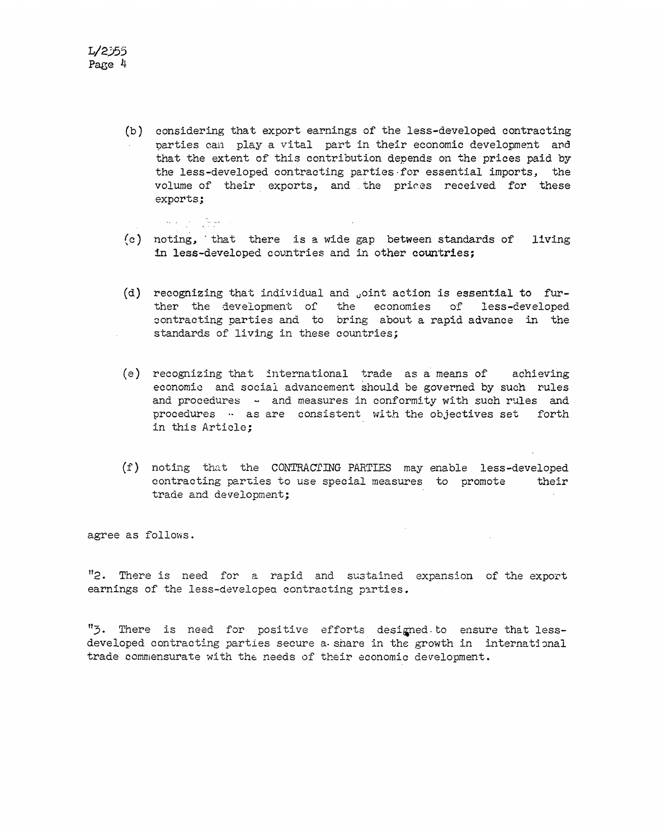- (b) considering that export earnings of the less-developed contracting parties can play a vital part in their economic development and that the extent of this contribution depends on the prices paid by the less-developed contracting parties for essential imports, the volume of their exports, and the prices received for these exports;
- (c) noting, that there is a wide gap between standards of living in less-developed countries and in other countries;
- (d) recognizing that individual and Joint action is essential to further the development of the economies of less-developed contracting parties and to bring about a rapid advance in the standards of living in these countries;
- (e) recognizing that international trade as a means of achieving economic and social advancement should be governed by such rules and procedures - and measures in conformity with such rules and procedures  $\cdot$  as are consistent with the objectives set forth in this Article;
- (f) noting that the CONTRACTING PARTIES may enable less-developed contracting parties to use special measures to promote their trade and development;

agree as follows.

 $\mathcal{L}(\mathbf{q},\mathbf{q})$  , where  $\mathcal{L}(\mathbf{q},\mathbf{q})$  is a set of  $\mathcal{L}(\mathbf{q})$ 

"2. There is need for a rapid and sustained expansion of the export earnings of the less-developed contracting parties.

"3. There is need for positive efforts designed to ensure that lessdeveloped contracting parties secure a- share in the growth in international trade commensurate with the needs of their economic development.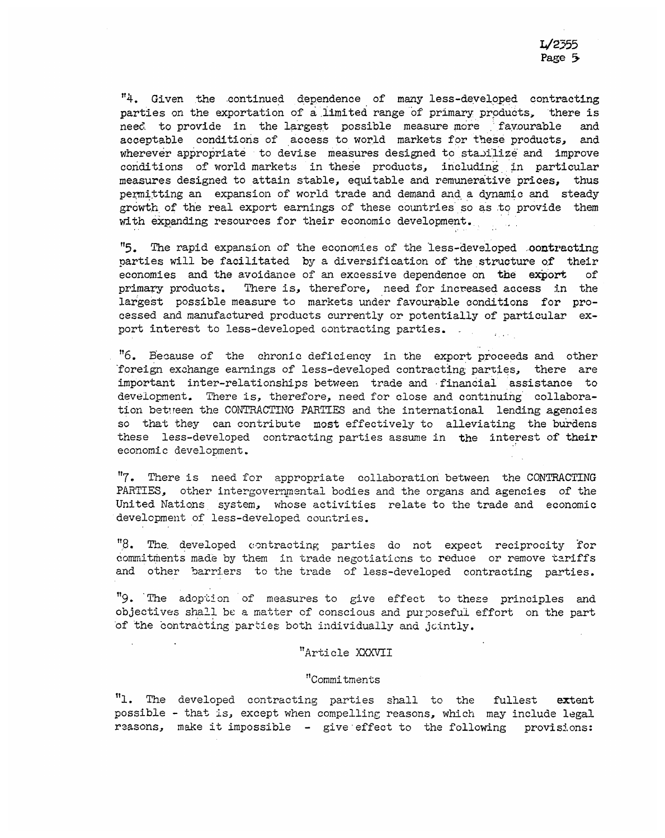"4. Given the continued dependence of many less-developed contracting parties on the exportation of a limited range of primary products, there is need to provide in the largest possible measure more favourable and need to provide in the largest possible measure more favourable acceptable conditions of access to world markets for these products, and wherever appropriate to devise measures designed to stabilize and improve conditions of world markets in these products, including in particular measures designed to attain stable, equitable and remunerative prices, thus permitting an expansion of world trade and demand and a dynamic and steady growth of the real export earnings of these countries so as to provide them with expanding resources for their economic development.

"5. The rapid expansion of the economies of the less-developed contracting parties will be facilitated by a diversification of the structure of their economies and the avoidance of an excessive dependence on the export of primary products. There is, therefore, need for increased access in the largest possible measure to markets under favourable conditions for processed and manufactured products currently or potentially of particular export interest to less-developed contracting parties.

"6. Because of the chronic deficiency in the export proceeds and other foreign exchange earnings of less-developed contracting parties, there are important inter-relationships between trade and financial assistance to development. There is, therefore, need for close and continuing collaboration between the CONTRACTING PARIES and the international lending agencies so that they can contribute most effectively to alleviating the burdens these less-developed contracting parties assume in the interest of their economic development.

"7. There is need for appropriate collaboration between the CONTRACTING PARTIES, other intergovernmental bodies and the organs and agencies of the United Nations system, whose activities relate to the trade and economic development of less-developed countries.

"8. The developed contracting parties do not expect reciprocity for commitments made by them in trade negotiations to reduce or remove tariffs and other barriers to the trade of less-developed contracting parties.

"9. The adoption of measures to give effect to these principles and objectives shall be a matter of conscious and purposeful effort on the part of the contracting parties both individually and jointly.

#### "Article XXXVII

## "Commitments

"1. The developed contracting parties shall to the fullest extent possible - that is, except when compelling reasons, which may include legal reasons, make it impossible - give effect to the following provisions: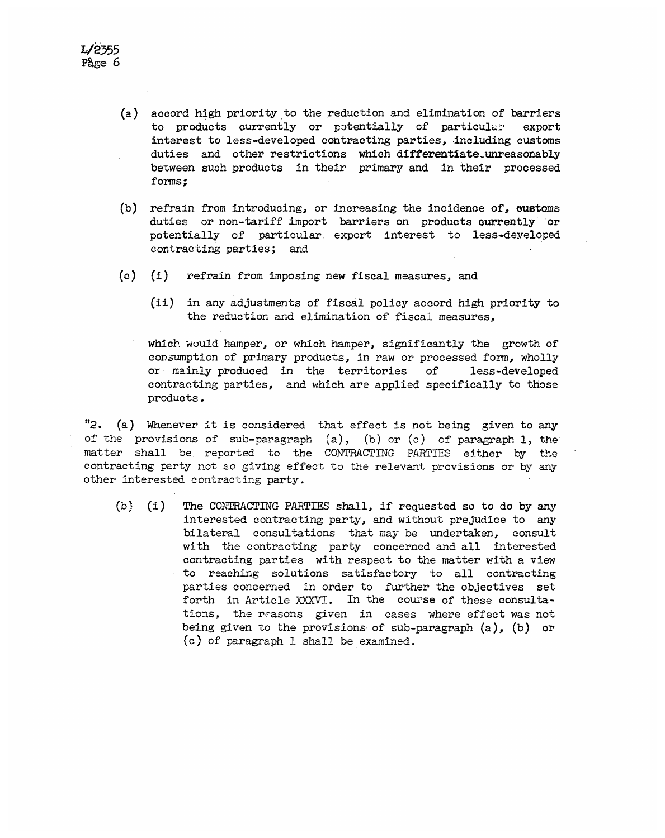- (a) accord high priority to the reduction and elimination of barriers to products currently or potentially of particular export interest to less-developed contracting parties, including customs duties and other restrictions which differentiate unreasonably between such products in their primary and in their processed forms;
- (b) refrain from introducing, or increasing the incidence of, customs duties or non-tariff import barriers on products currently or potentially of particular export interest to less-developed contracting parties; and
- (c) (i) refrain from imposing new fiscal measures, and
	- (ii) in any adjustments of fiscal policy accord high priority to the reduction and elimination of fiscal measures,

which. would hamper, or which hamper, significantly the growth of consumption of primary products, in raw or processed form, wholly or mainly produced in the territories of less-developed contracting parties, and which are applied specifically to those products.

"2. (a) Whenever it is considered that effect is not being given to any of the provisions of sub-paragraph  $(a)$ ,  $(b)$  or  $(c)$  of paragraph 1, the matter shall be reported to the CONTRACTING PARTIES either by the contracting party not so giving effect to the relevant provisions or by any other interested contracting party.

(b) (i) The CONTRACTING PARTIES shall, if requested so to do by any interested contracting party, and without prejudice to any bilateral consultations that may be undertaken, consult with the contracting party concerned and all interested contracting parties with respect to the matter with a view to reaching solutions satisfactory to all contracting parties concerned in order to further the objectives set forth in Article XXXVI. In the course of these consultations, the reasons given in cases where effect was not being given to the provisions of sub-paragraph (a), (b) or (c) of paragraph 1 shall be examined.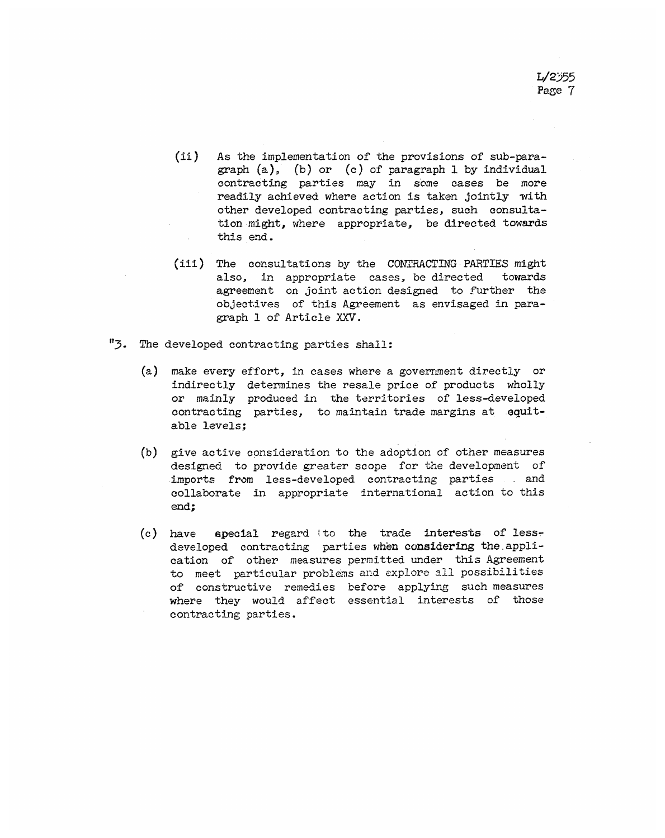- (ii) As the implementation of the provisions of sub-paragraph (a), (b) or (c) of paragraph 1 by individual contracting parties may in some cases be more readily achieved where action is taken jointly with other developed contracting parties, such consultation might, where appropriate, be directed towards this end.
- (iii) The consultations by the CONTRACTING PARTIES might also, in appropriate cases, be directed towards agreement on joint action designed to further the objectives of this Agreement as envisaged in paragraph 1 of Article XXV.
- "3. The developed contracting parties shall:
	- (a) make every effort, in cases where a government directly or indirectly determines the resale price of products wholly or mainly produced in the territories of less-developed contracting parties, to maintain trade margins at equitable levels;
	- (b) give active consideration to the adoption of other measures designed to provide greater scope for the development of imports from less-developed contracting parties . and collaborate in appropriate international action to this end;
	- (c) have special regard to the trade interests of lessdeveloped contracting parties when considering the application of other measures permitted under this Agreement to meet particular problems and explore all possibilities of constructive remedies before applying such measures where they would affect essential interests of those contracting parties.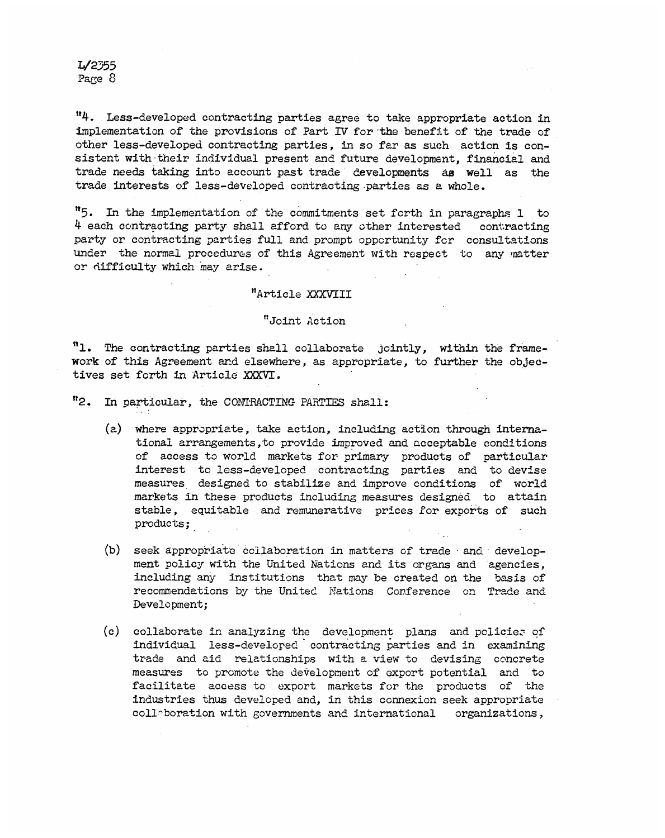L/2355 Page 8

" 4. Less-developed contracting parties agree to take appropriate action in implementation of the provisions of Part IV for the benefit of the trade of other less-developed contracting parties, in so far as such action is consistent with their individual present and future development, financial and trade needs taking into account past trade developments as well as the trade interests of less-developed contracting parties as a whole.

"'5. In the implementation of the commitments set forth in paragraphs 1 to 4 each contracting party shall afford to any other interested contracting party or contracting parties full and prompt opportunity for consultations under the normal procedures of this Agreement with respect to any matter or difficulty which may arise.

# "Article XXXVIII

# "Joint Action

"1. The contracting parties shall collaborate jointly, within the framework of this Agreement and elsewhere, as appropriate, to further the objectives set forth in Article XXXVI.

- "2. In particular, the CONTRACTING PARTIES shall:
	- (a) where appropriate, take action, including action through international arrangements, to provide improved and acceptable conditions of access to world markets for primary products of particular interest to less-developed contracting parties and to devise measures designed to stabilize and improve conditions of world markets in these products including measures designed to attain stable, equitable and remunerative prices for exports of such products;
	- (b) seek appropriate collaboration in matters of trade and development policy with the United Nations and its organs and agencies, including any institutions that may be created on the basis of recommendations by the United Nations Conference on Trade and Development;
	- (c) collaborate in analyzing the development plans and policies of individual less-developed contracting parties and in examining trade and aid relationships with a view to devising concrete measures to promote the development of export potential and to facilitate access to export markets for the products of the industries thus developed and, in this connexion seek appropriate collaboration with governments and international organizations,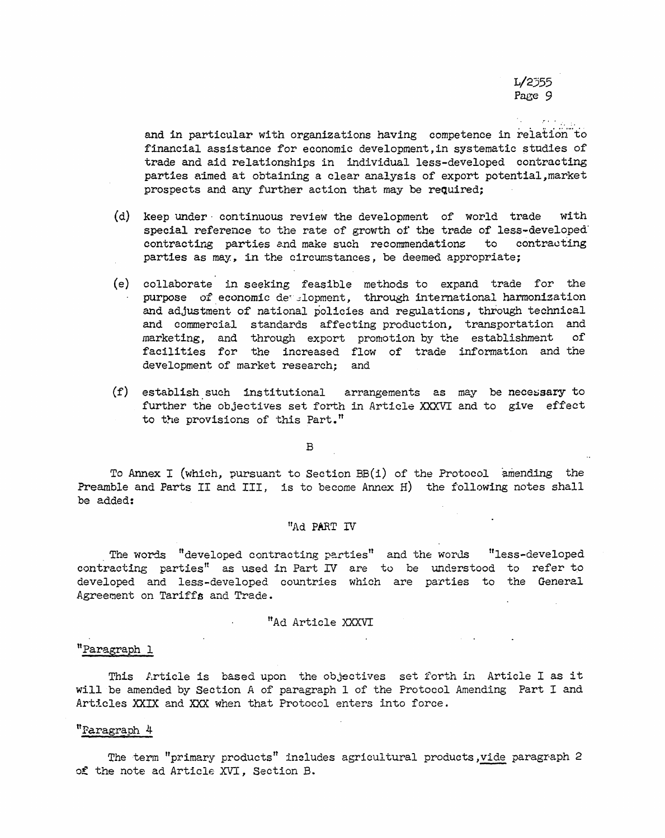and in particular with organizations having competence in relation to financial assistance for economic development,in systematic studies of trade and aid relationships in individual less-developed contracting parties aimed at obtaining a clear analysis of export potential,market prospects and any further action that may be required;

- (d) keep under continuous review the development of world trade with special reference to the rate of growth of the trade of less-developed contracting parties and make such recommendations to contracting parties as may, in the circumstances, be deemed appropriate;
- (e) collaborate in seeking feasible methods to expand trade for the purpose of economic development, through international harmonization and adjustment of national policies and regulations, through technical and commercial standards affecting production, transportation and marketing, and through export promotion by the establishment of facilities for the increased flow of trade information and the development of market research; and
- (f) establish such institutional arrangements as may be necessary to further the objectives set forth in Article XXXVI and to give effect to the provisions of this Part."

B

To Annex I (which, pursuant to Section BB(i) of the Protocol amending the Preamble and Parts II and III, is to become Annex H) the following notes shall be added:

## "Ad PART IV

The words "developed contracting parties" and the words "less-developed contracting parties" as used in Part IV are to be understood to refer to developed and less-developed countries which are parties to the General Agreement on Tariffs and Trade.

## "Ad Article XXXVI

## "Paragraph 1

This Article is based upon the objectives set forth in Article I as it will be amended by Section A of paragraph 1 of the Protocol Amending Part I and Articles XXIX and XXX when that Protocol enters into force.

#### "Paragraph 4

The tern "primary products" includes agricultural products,vide paragraph 2 of the note ad Article XVI, Section B.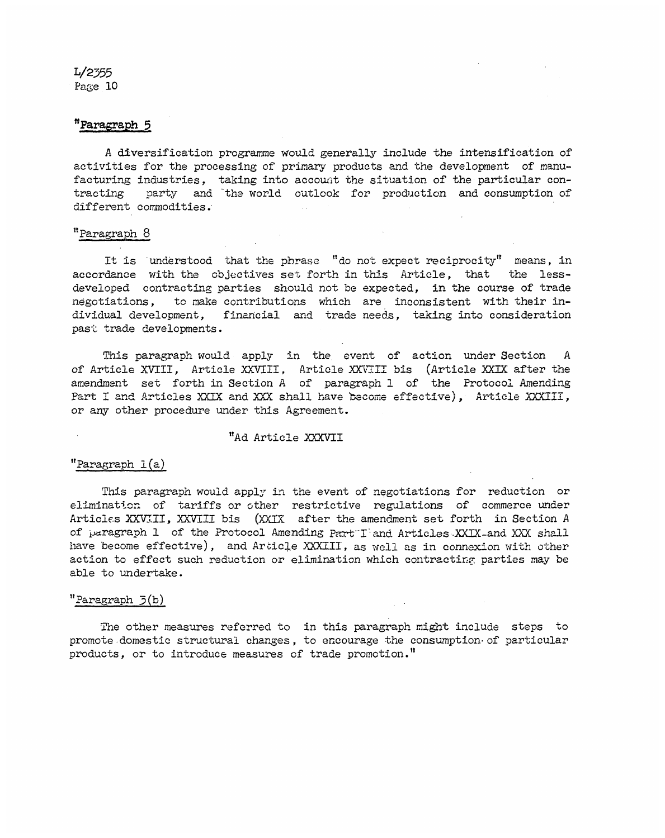L/2355 Page 10

# "Paragraph 5

A diversification programme would generally include the intensification of activities for the processing of primary products and the development of manufacturing industries, taking into account the situation of the particular contracting party and the world outlook for production and consumption of different commodities.

## "Paragraph 8

It is understood that the phrase "do not expect reciprocity" means, in accordance with the objectives set forth in this Article, that the lessdeveloped contracting parties should not be expected, in the course of trade negotiations, to make contributions which are inconsistent with their individual development, financial and trade needs, taking into consideration past trade developments.

This paragraph would apply in the event of action under Section A of Article XVIII, Article XXVIII, Article XXVIII bis (Article XXIX after the amendment set forth in Section A of paragraph 1 of the Protocol Amending Part I and Articles XXIX and XXX shall have become effective), Article XXXIII, or any other procedure under this Agreement.

## "Ad Article XXXVII

## "Paragraph 1(a)

This paragraph would apply in the event of negotiations for reduction or elimination of tariffs or other restrictive regulations of commerce under Articles XXVIII, XXVIII bis (XXIX after the amendment set forth in Section A of paragraph 1 of the Protocol Amending Part I and Articles XXIX-and XXX shall have become effective), and Article XXXIII, as well as in connexion with other action to effect such reduction or elimination which contracting parties may be able to undertake.

## "Paragraph 3(b)

The other measures referred to in this paragraph might include steps to promote-domestic structural changes, to encourage the consumption-of particular products, or to introduce measures of trade promotion."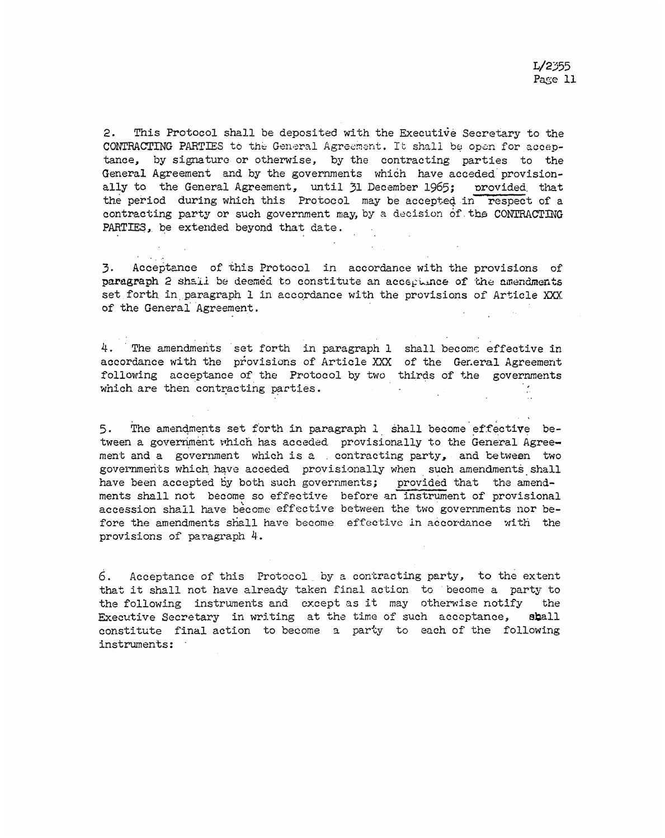2. This Protocol shall be deposited with the Executive Secretary to the CONTRACTING PARTIES to the General Agreement. It shall be open for aceeptance, by signature or otherwise, by the contracting parties to the General Agreement and by the governments which have acceded provisionally to the General Agreement, until 31 December 1965; provided that the period during which this Protocol may be accepted in respect of a contracting party or such government may, by a decision of the CONTRACTING PARTIES, be extended beyond that date.

3. Acceptance of this Protocol in accordance with the provisions of paragraph 2 shall be deemed to constitute an acceptince of the amendments set forth in paragraph 1 in accordance with the provisions of Article XXX. of the General Agreement.

4. The amendments set forth in paragraph 1 shall become effective in accordance with the provisions of Article XXX of the General Agreement following acceptance of the Protocol by two thirds of the governments which are then contracting parties.

5. The amendments set forth in paragraph 1 shall become effective between a government which has acceded provisionally to the General Agreement and a government which is a contracting party, and between two governments which have acceded provisionally when such amendments shall have been accepted by both such governments; provided that the amendments shall not become so effective before an instrument of provisional accession shall have become effective between the two governments nor before the amendments shall have become effective in accordance with the provisions of paragraph 4.

6. Acceptance of this Protocol by a contracting party, to the extent that it shall not have already taken final action to become a party to the following instruments and except as it may otherwise notify the Executive Secretary in writing at the time of such acceptance. shall constitute final action to become a party to each of the following instruments: